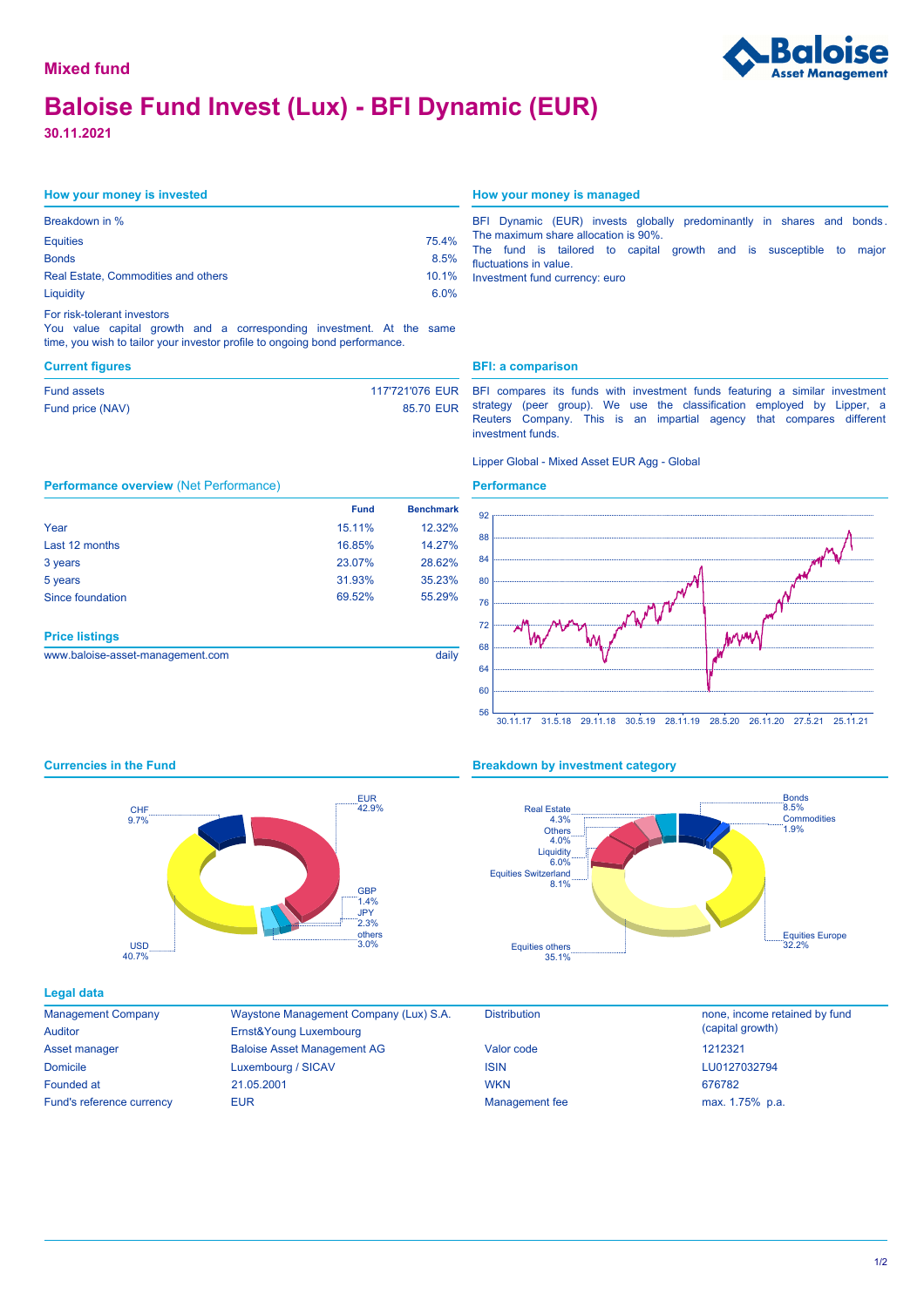# **Baloise Fund Invest (Lux) - BFI Dynamic (EUR)**

**30.11.2021**

Fund assets Fund price (NAV)

Year Last 12 months 3 years 5 years Since foundation

**Price listings**

## **How your money is invested How your money is managed**

**Performance overview** (Net Performance)

| Breakdown in %                      |       |
|-------------------------------------|-------|
| <b>Equities</b>                     | 75.4% |
| <b>Bonds</b>                        | 8.5%  |
| Real Estate, Commodities and others | 10.1% |
| Liquidity                           | 6.0%  |
| For risk-tolerant investors         |       |

You value capital growth and a corresponding investment. At the same time, you wish to tailor your investor profile to ongoing bond performance.

|                        |  |  |                                |  |                                      |  |  | BFI Dynamic (EUR) invests globally predominantly in shares and bonds. |  |
|------------------------|--|--|--------------------------------|--|--------------------------------------|--|--|-----------------------------------------------------------------------|--|
|                        |  |  |                                |  | The maximum share allocation is 90%. |  |  |                                                                       |  |
|                        |  |  |                                |  |                                      |  |  | The fund is tailored to capital growth and is susceptible to major    |  |
| fluctuations in value. |  |  |                                |  |                                      |  |  |                                                                       |  |
|                        |  |  | Investment fund currency: euro |  |                                      |  |  |                                                                       |  |

# **Current figures BFI: a comparison**

 85.70 EUR 117'721'076 EUR BFI compares its funds with investment funds featuring a similar investment strategy (peer group). We use the classification employed by Lipper, a Reuters Company. This is an impartial agency that compares different investment funds.

### Lipper Global - Mixed Asset EUR Agg - Global

# **Performance**



# 30.11.17 31.5.18 29.11.18 30.5.19 28.11.19 28.5.20 26.11.20 27.5.21 25.11.21



www.baloise-asset-management.com daily

# **Currencies in the Fund <b>Breakdown Breakdown by investment category**



## **Legal data**

| <b>Management Company</b> |
|---------------------------|
| Auditor                   |
| Asset manager             |
| <b>Domicile</b>           |
| Founded at                |
| Fund's reference currency |

Baloise Asset Management AG Waystone Management Company (Lux) S.A. Luxembourg / SICAV Ernst&Young Luxembourg EUR **EUR** Management fee max. 1.75% p.a. 21.05.2001



Distribution **none**, income retained by fund (capital growth) LU0127032794 676782 1212321

 15.11% 12.32% 16.85% 14.27% 23.07% 28.62% 31.93% 35.23%

69.52% 55.29%

**Fund Benchmark**